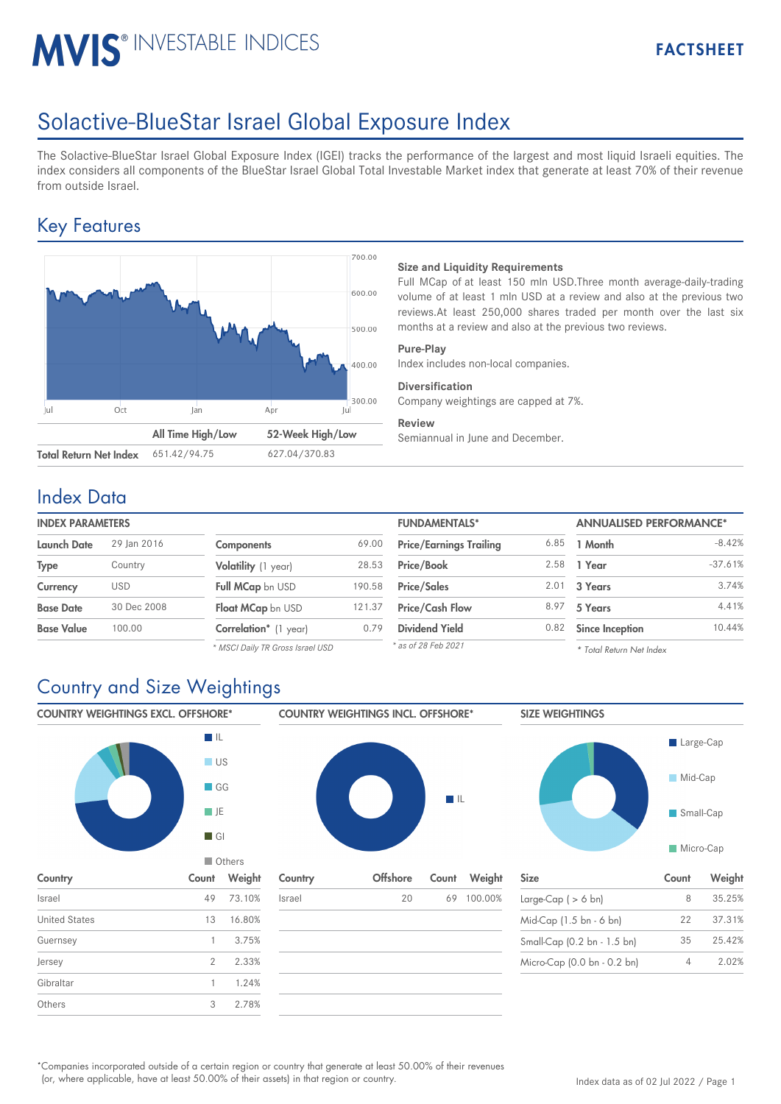# **MVIS® INVESTABLE INDICES**

## Solactive-BlueStar Israel Global Exposure Index

The Solactive-BlueStar Israel Global Exposure Index (IGEI) tracks the performance of the largest and most liquid Israeli equities. The index considers all components of the BlueStar Israel Global Total Investable Market index that generate at least 70% of their revenue from outside Israel.

## Key Features



#### **Size and Liquidity Requirements**

Full MCap of at least 150 mln USD.Three month average-daily-trading volume of at least 1 mln USD at a review and also at the previous two reviews.At least 250,000 shares traded per month over the last six months at a review and also at the previous two reviews.

#### **Pure-Play**

Index includes non-local companies.

#### **Diversification**

Company weightings are capped at 7%.

#### **Review**

Semiannual in June and December.

### Index Data

| <b>INDEX PARAMETERS</b> |             |                       |        | <b>FUNDAMENTALS*</b>           |      | <b>ANNUALISED PERFORMANCE*</b> |        |
|-------------------------|-------------|-----------------------|--------|--------------------------------|------|--------------------------------|--------|
| <b>Launch Date</b>      | 29 Ian 2016 | <b>Components</b>     | 69.00  | <b>Price/Earnings Trailing</b> | 6.85 | 1 Month                        | $-8.$  |
| Type                    | Country     | Volatility (1 year)   | 28.53  | Price/Book                     | 2.58 | 1 Year                         | $-37.$ |
| <b>Currency</b>         | USD         | Full MCap bn USD      | 190.58 | <b>Price/Sales</b>             | 2.01 | 3 Years                        | 3.     |
| <b>Base Date</b>        | 30 Dec 2008 | Float MCap bn USD     | 121.37 | <b>Price/Cash Flow</b>         | 8.97 | 5 Years                        | 4.     |
| <b>Base Value</b>       | 100.00      | Correlation* (1 year) | 0.79   | <b>Dividend Yield</b>          | 0.82 | <b>Since Inception</b>         | 10.    |

*\* MSCI Daily TR Gross Israel USD*

| <b>FUNDAMENTALS*</b>           |      | <b>ANNUALISED PERFORMANCE*</b> |           |  |
|--------------------------------|------|--------------------------------|-----------|--|
| <b>Price/Earnings Trailing</b> | 6.85 | 1 Month                        | $-8.42%$  |  |
| Price/Book                     | 2.58 | 1 Year                         | $-37.61%$ |  |
| <b>Price/Sales</b>             | 2.01 | 3 Years                        | 3.74%     |  |
| <b>Price/Cash Flow</b>         | 8.97 | 5 Years                        | 4.41%     |  |
| <b>Dividend Yield</b>          | 0.82 | <b>Since Inception</b>         | 10.44%    |  |
| * as of 28 Feb 2021            |      | * Total Poturn Not Indov       |           |  |

*\* Total Return Net Index*

### Country and Size Weightings



Companies incorporated outside of a certain region or country that generate at least 50.00% of their revenues \* (or, where applicable, have at least 50.00% of their assets) in that region or country.